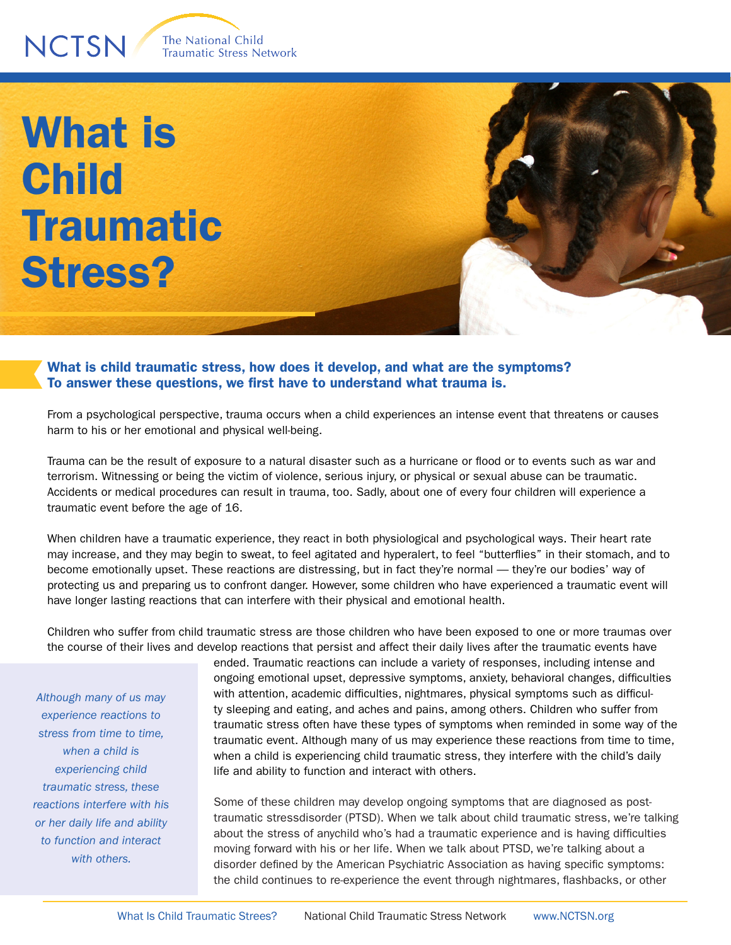The National Child Traumatic Stress Network

## What is Child **Traumatic** Stress?

**NCTSN** 

What is child traumatic stress, how does it develop, and what are the symptoms? To answer these questions, we first have to understand what trauma is.

From a psychological perspective, trauma occurs when a child experiences an intense event that threatens or causes harm to his or her emotional and physical well-being.

Trauma can be the result of exposure to a natural disaster such as a hurricane or flood or to events such as war and terrorism. Witnessing or being the victim of violence, serious injury, or physical or sexual abuse can be traumatic. Accidents or medical procedures can result in trauma, too. Sadly, about one of every four children will experience a traumatic event before the age of 16.

When children have a traumatic experience, they react in both physiological and psychological ways. Their heart rate may increase, and they may begin to sweat, to feel agitated and hyperalert, to feel "butterflies" in their stomach, and to become emotionally upset. These reactions are distressing, but in fact they're normal — they're our bodies' way of protecting us and preparing us to confront danger. However, some children who have experienced a traumatic event will have longer lasting reactions that can interfere with their physical and emotional health.

Children who suffer from child traumatic stress are those children who have been exposed to one or more traumas over the course of their lives and develop reactions that persist and affect their daily lives after the traumatic events have

*Although many of us may experience reactions to stress from time to time, when a child is experiencing child traumatic stress, these reactions interfere with his or her daily life and ability to function and interact with others.*

ended. Traumatic reactions can include a variety of responses, including intense and ongoing emotional upset, depressive symptoms, anxiety, behavioral changes, difficulties with attention, academic difficulties, nightmares, physical symptoms such as difficulty sleeping and eating, and aches and pains, among others. Children who suffer from traumatic stress often have these types of symptoms when reminded in some way of the traumatic event. Although many of us may experience these reactions from time to time, when a child is experiencing child traumatic stress, they interfere with the child's daily life and ability to function and interact with others.

Some of these children may develop ongoing symptoms that are diagnosed as posttraumatic stressdisorder (PTSD). When we talk about child traumatic stress, we're talking about the stress of anychild who's had a traumatic experience and is having difficulties moving forward with his or her life. When we talk about PTSD, we're talking about a disorder defined by the American Psychiatric Association as having specific symptoms: the child continues to re-experience the event through nightmares, flashbacks, or other